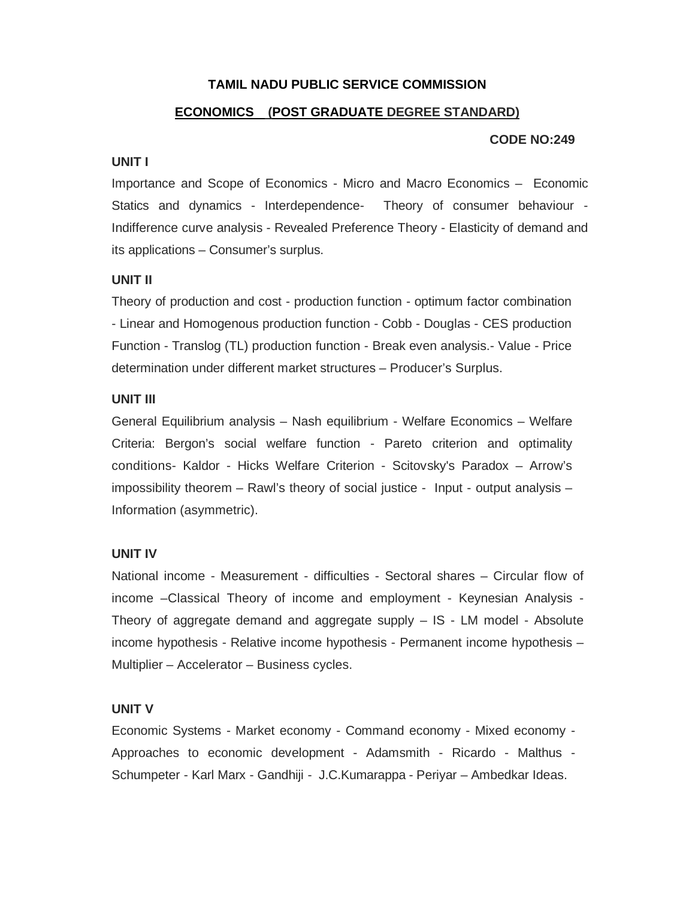## **TAMIL NADU PUBLIC SERVICE COMMISSION**

## **ECONOMICS (POST GRADUATE DEGREE STANDARD)**

#### **CODE NO:249**

#### **UNIT I**

Importance and Scope of Economics - Micro and Macro Economics – Economic Statics and dynamics - Interdependence- Theory of consumer behaviour - Indifference curve analysis - Revealed Preference Theory - Elasticity of demand and its applications – Consumer's surplus.

### **UNIT II**

Theory of production and cost - production function - optimum factor combination - Linear and Homogenous production function - Cobb - Douglas - CES production Function - Translog (TL) production function - Break even analysis.- Value - Price determination under different market structures – Producer's Surplus.

### **UNIT III**

General Equilibrium analysis – Nash equilibrium - Welfare Economics – Welfare Criteria: Bergon's social welfare function - Pareto criterion and optimality conditions- Kaldor - Hicks Welfare Criterion - Scitovsky's Paradox – Arrow's impossibility theorem – Rawl's theory of social justice - Input - output analysis – Information (asymmetric).

### **UNIT IV**

National income - Measurement - difficulties - Sectoral shares – Circular flow of income –Classical Theory of income and employment - Keynesian Analysis - Theory of aggregate demand and aggregate supply – IS - LM model - Absolute income hypothesis - Relative income hypothesis - Permanent income hypothesis – Multiplier – Accelerator – Business cycles.

### **UNIT V**

Economic Systems - Market economy - Command economy - Mixed economy - Approaches to economic development - Adamsmith - Ricardo - Malthus - Schumpeter - Karl Marx - Gandhiji - J.C.Kumarappa - Periyar – Ambedkar Ideas.